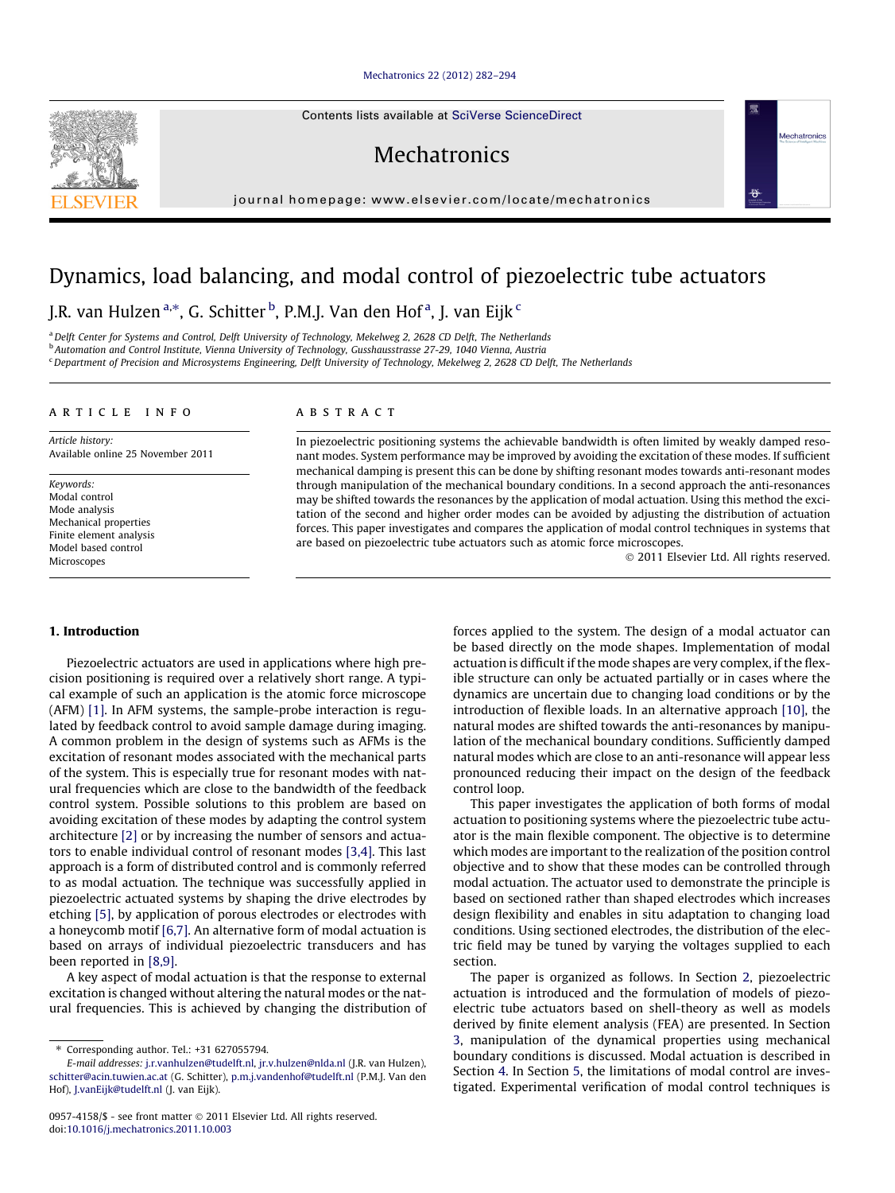# [Mechatronics 22 \(2012\) 282–294](http://dx.doi.org/10.1016/j.mechatronics.2011.10.003)

Contents lists available at [SciVerse ScienceDirect](http://www.sciencedirect.com/science/journal/09574158)

**Mechatronics** 

journal homepage: [www.elsevier.com/locate/mechatronics](http://www.elsevier.com/locate/mechatronics)

# Dynamics, load balancing, and modal control of piezoelectric tube actuators

J.R. van Hulzen<sup>a,</sup>\*, G. Schitter <sup>b</sup>, P.M.J. Van den Hof <sup>a</sup>, J. van Eijk <sup>c</sup>

<sup>a</sup> Delft Center for Systems and Control, Delft University of Technology, Mekelweg 2, 2628 CD Delft, The Netherlands

<sup>b</sup> Automation and Control Institute, Vienna University of Technology, Gusshausstrasse 27-29, 1040 Vienna, Austria

<sup>c</sup> Department of Precision and Microsystems Engineering, Delft University of Technology, Mekelweg 2, 2628 CD Delft, The Netherlands

## article info

Article history: Available online 25 November 2011

Keywords: Modal control Mode analysis Mechanical properties Finite element analysis Model based control Microscopes

## ABSTRACT

In piezoelectric positioning systems the achievable bandwidth is often limited by weakly damped resonant modes. System performance may be improved by avoiding the excitation of these modes. If sufficient mechanical damping is present this can be done by shifting resonant modes towards anti-resonant modes through manipulation of the mechanical boundary conditions. In a second approach the anti-resonances may be shifted towards the resonances by the application of modal actuation. Using this method the excitation of the second and higher order modes can be avoided by adjusting the distribution of actuation forces. This paper investigates and compares the application of modal control techniques in systems that are based on piezoelectric tube actuators such as atomic force microscopes.

- 2011 Elsevier Ltd. All rights reserved.

Mechatronics

## 1. Introduction

Piezoelectric actuators are used in applications where high precision positioning is required over a relatively short range. A typical example of such an application is the atomic force microscope (AFM) [\[1\].](#page-12-0) In AFM systems, the sample-probe interaction is regulated by feedback control to avoid sample damage during imaging. A common problem in the design of systems such as AFMs is the excitation of resonant modes associated with the mechanical parts of the system. This is especially true for resonant modes with natural frequencies which are close to the bandwidth of the feedback control system. Possible solutions to this problem are based on avoiding excitation of these modes by adapting the control system architecture [\[2\]](#page-12-0) or by increasing the number of sensors and actuators to enable individual control of resonant modes [\[3,4\].](#page-12-0) This last approach is a form of distributed control and is commonly referred to as modal actuation. The technique was successfully applied in piezoelectric actuated systems by shaping the drive electrodes by etching [\[5\],](#page-12-0) by application of porous electrodes or electrodes with a honeycomb motif [\[6,7\]](#page-12-0). An alternative form of modal actuation is based on arrays of individual piezoelectric transducers and has been reported in [\[8,9\]](#page-12-0).

A key aspect of modal actuation is that the response to external excitation is changed without altering the natural modes or the natural frequencies. This is achieved by changing the distribution of forces applied to the system. The design of a modal actuator can be based directly on the mode shapes. Implementation of modal actuation is difficult if the mode shapes are very complex, if the flexible structure can only be actuated partially or in cases where the dynamics are uncertain due to changing load conditions or by the introduction of flexible loads. In an alternative approach [\[10\],](#page-12-0) the natural modes are shifted towards the anti-resonances by manipulation of the mechanical boundary conditions. Sufficiently damped natural modes which are close to an anti-resonance will appear less pronounced reducing their impact on the design of the feedback control loop.

This paper investigates the application of both forms of modal actuation to positioning systems where the piezoelectric tube actuator is the main flexible component. The objective is to determine which modes are important to the realization of the position control objective and to show that these modes can be controlled through modal actuation. The actuator used to demonstrate the principle is based on sectioned rather than shaped electrodes which increases design flexibility and enables in situ adaptation to changing load conditions. Using sectioned electrodes, the distribution of the electric field may be tuned by varying the voltages supplied to each section.

The paper is organized as follows. In Section [2](#page-1-0), piezoelectric actuation is introduced and the formulation of models of piezoelectric tube actuators based on shell-theory as well as models derived by finite element analysis (FEA) are presented. In Section [3](#page-5-0), manipulation of the dynamical properties using mechanical boundary conditions is discussed. Modal actuation is described in Section [4.](#page-6-0) In Section [5](#page-8-0), the limitations of modal control are investigated. Experimental verification of modal control techniques is

<span id="page-0-0"></span>

<sup>⇑</sup> Corresponding author. Tel.: +31 627055794.

E-mail addresses: [j.r.vanhulzen@tudelft.nl](mailto:j.r.vanhulzen@tudelft.nl), [jr.v.hulzen@nlda.nl](mailto:jr.v.hulzen@nlda.nl) (J.R. van Hulzen), [schitter@acin.tuwien.ac.at](mailto:schitter@acin.tuwien.ac.at) (G. Schitter), [p.m.j.vandenhof@tudelft.nl](mailto:p.m.j.vandenhof@tudelft.nl) (P.M.J. Van den Hof), [J.vanEijk@tudelft.nl](mailto:J.vanEijk@tudelft.nl) (J. van Eijk).

<sup>0957-4158/\$ -</sup> see front matter © 2011 Elsevier Ltd. All rights reserved. doi:[10.1016/j.mechatronics.2011.10.003](http://dx.doi.org/10.1016/j.mechatronics.2011.10.003)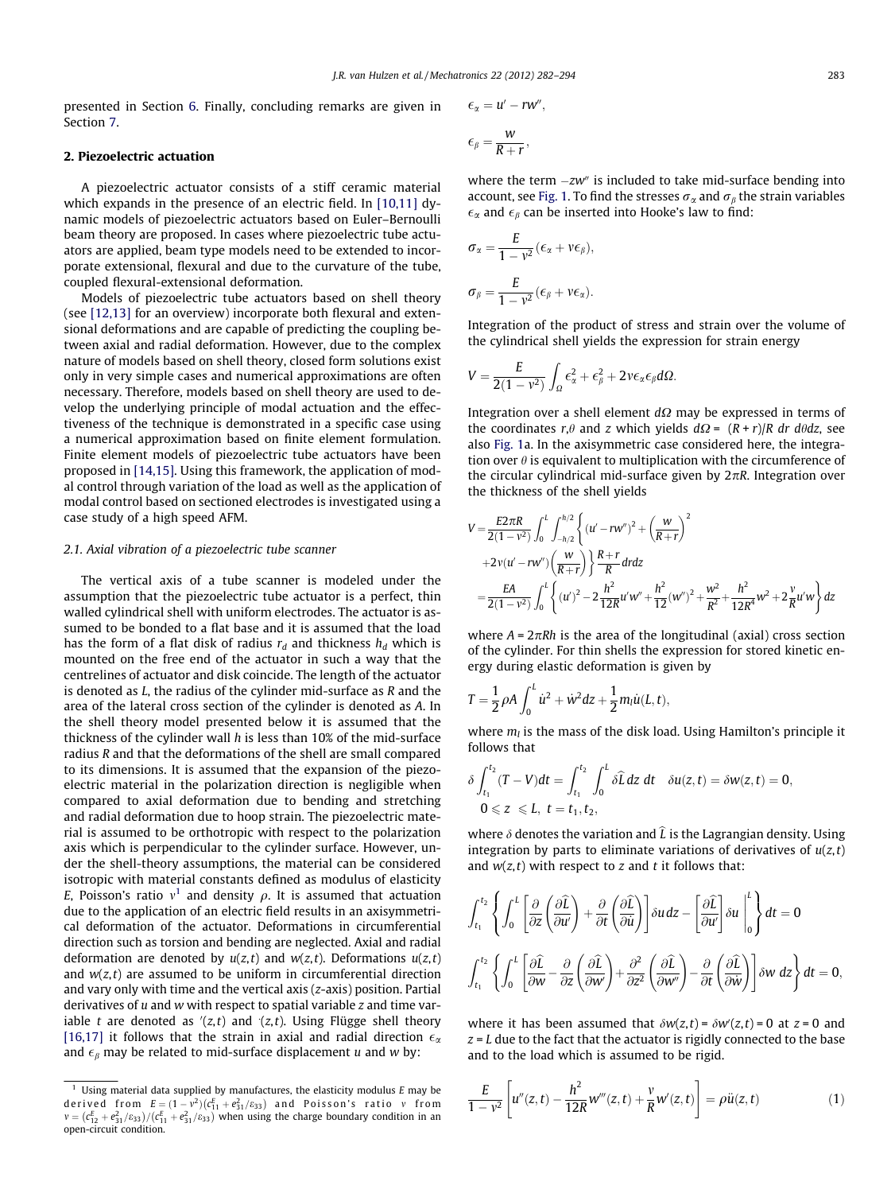<span id="page-1-0"></span>presented in Section [6.](#page-9-0) Finally, concluding remarks are given in Section [7](#page-11-0).

#### 2. Piezoelectric actuation

A piezoelectric actuator consists of a stiff ceramic material which expands in the presence of an electric field. In [\[10,11\]](#page-12-0) dynamic models of piezoelectric actuators based on Euler–Bernoulli beam theory are proposed. In cases where piezoelectric tube actuators are applied, beam type models need to be extended to incorporate extensional, flexural and due to the curvature of the tube, coupled flexural-extensional deformation.

Models of piezoelectric tube actuators based on shell theory (see [\[12,13\]](#page-12-0) for an overview) incorporate both flexural and extensional deformations and are capable of predicting the coupling between axial and radial deformation. However, due to the complex nature of models based on shell theory, closed form solutions exist only in very simple cases and numerical approximations are often necessary. Therefore, models based on shell theory are used to develop the underlying principle of modal actuation and the effectiveness of the technique is demonstrated in a specific case using a numerical approximation based on finite element formulation. Finite element models of piezoelectric tube actuators have been proposed in [\[14,15\].](#page-12-0) Using this framework, the application of modal control through variation of the load as well as the application of modal control based on sectioned electrodes is investigated using a case study of a high speed AFM.

## 2.1. Axial vibration of a piezoelectric tube scanner

The vertical axis of a tube scanner is modeled under the assumption that the piezoelectric tube actuator is a perfect, thin walled cylindrical shell with uniform electrodes. The actuator is assumed to be bonded to a flat base and it is assumed that the load has the form of a flat disk of radius  $r_d$  and thickness  $h_d$  which is mounted on the free end of the actuator in such a way that the centrelines of actuator and disk coincide. The length of the actuator is denoted as L, the radius of the cylinder mid-surface as R and the area of the lateral cross section of the cylinder is denoted as A. In the shell theory model presented below it is assumed that the thickness of the cylinder wall h is less than 10% of the mid-surface radius R and that the deformations of the shell are small compared to its dimensions. It is assumed that the expansion of the piezoelectric material in the polarization direction is negligible when compared to axial deformation due to bending and stretching and radial deformation due to hoop strain. The piezoelectric material is assumed to be orthotropic with respect to the polarization axis which is perpendicular to the cylinder surface. However, under the shell-theory assumptions, the material can be considered isotropic with material constants defined as modulus of elasticity E, Poisson's ratio  $v^1$  and density  $\rho$ . It is assumed that actuation due to the application of an electric field results in an axisymmetrical deformation of the actuator. Deformations in circumferential direction such as torsion and bending are neglected. Axial and radial deformation are denoted by  $u(z,t)$  and  $w(z,t)$ . Deformations  $u(z,t)$ and  $w(z,t)$  are assumed to be uniform in circumferential direction and vary only with time and the vertical axis (z-axis) position. Partial derivatives of  $u$  and  $w$  with respect to spatial variable  $z$  and time variable t are denoted as  $'(z,t)$  and  $(z,t)$ . Using Flügge shell theory [\[16,17\]](#page-12-0) it follows that the strain in axial and radial direction  $\epsilon_{\alpha}$ and  $\epsilon_{\beta}$  may be related to mid-surface displacement u and w by:

$$
\epsilon_{\alpha} = u' - rw'',
$$
  

$$
\epsilon_{\beta} = \frac{w}{R+r},
$$

where the term  $-zw''$  is included to take mid-surface bending into account, see [Fig. 1.](#page-2-0) To find the stresses  $\sigma_{\alpha}$  and  $\sigma_{\beta}$  the strain variables  $\epsilon_{\alpha}$  and  $\epsilon_{\beta}$  can be inserted into Hooke's law to find:

$$
\sigma_{\alpha} = \frac{E}{1 - \nu^2} (\epsilon_{\alpha} + \nu \epsilon_{\beta}),
$$
  

$$
\sigma_{\beta} = \frac{E}{1 - \nu^2} (\epsilon_{\beta} + \nu \epsilon_{\alpha}).
$$

Integration of the product of stress and strain over the volume of the cylindrical shell yields the expression for strain energy

$$
V=\frac{E}{2(1-v^2)}\int_{\Omega}\epsilon_{\alpha}^2+\epsilon_{\beta}^2+2v\epsilon_{\alpha}\epsilon_{\beta}d\Omega.
$$

Integration over a shell element  $d\Omega$  may be expressed in terms of the coordinates r, $\theta$  and z which yields  $d\Omega = (R+r)/R$  dr d $\theta$ dz, see also [Fig. 1](#page-2-0)a. In the axisymmetric case considered here, the integration over  $\theta$  is equivalent to multiplication with the circumference of the circular cylindrical mid-surface given by  $2\pi R$ . Integration over the thickness of the shell yields

$$
V = \frac{E2\pi R}{2(1 - v^2)} \int_0^L \int_{-h/2}^{h/2} \left\{ (u' - rw'')^2 + \left(\frac{w}{R+r}\right)^2 + 2v(u' - rw'') \left(\frac{w}{R+r}\right) \right\} \frac{R+r}{R} dr dz
$$
  
=  $\frac{EA}{2(1 - v^2)} \int_0^L \left\{ (u')^2 - 2\frac{h^2}{12R}u'w'' + \frac{h^2}{12}(w'')^2 + \frac{w^2}{R^2} + \frac{h^2}{12R^4}w^2 + 2\frac{v}{R}u'w \right\} dz$ 

where  $A = 2\pi Rh$  is the area of the longitudinal (axial) cross section of the cylinder. For thin shells the expression for stored kinetic energy during elastic deformation is given by

$$
T = \frac{1}{2} \rho A \int_0^L \dot{u}^2 + \dot{w}^2 dz + \frac{1}{2} m_l \dot{u}(L, t),
$$

where  $m_l$  is the mass of the disk load. Using Hamilton's principle it follows that

$$
\delta \int_{t_1}^{t_2} (T - V) dt = \int_{t_1}^{t_2} \int_0^L \delta \widehat{L} dz dt \quad \delta u(z, t) = \delta w(z, t) = 0,
$$
  
0 \le z \le L, t = t\_1, t\_2,

where  $\delta$  denotes the variation and  $\widehat{L}$  is the Lagrangian density. Using integration by parts to eliminate variations of derivatives of  $u(z,t)$ and  $w(z,t)$  with respect to z and t it follows that:

$$
\int_{t_1}^{t_2} \left\{ \int_0^L \left[ \frac{\partial}{\partial z} \left( \frac{\partial \widehat{L}}{\partial u'} \right) + \frac{\partial}{\partial t} \left( \frac{\partial \widehat{L}}{\partial \dot{u}} \right) \right] \delta u \, dz - \left[ \frac{\partial \widehat{L}}{\partial u'} \right] \delta u \Big|_0^L \right\} dt = 0
$$
\n
$$
\int_{t_1}^{t_2} \left\{ \int_0^L \left[ \frac{\partial \widehat{L}}{\partial w} - \frac{\partial}{\partial z} \left( \frac{\partial \widehat{L}}{\partial w'} \right) + \frac{\partial^2}{\partial z^2} \left( \frac{\partial \widehat{L}}{\partial w''} \right) - \frac{\partial}{\partial t} \left( \frac{\partial \widehat{L}}{\partial \dot{w}} \right) \right] \delta w \, dz \right\} dt = 0,
$$

where it has been assumed that  $\delta w(z,t) = \delta w'(z,t) = 0$  at  $z = 0$  and  $z = L$  due to the fact that the actuator is rigidly connected to the base and to the load which is assumed to be rigid.

$$
\frac{E}{1 - v^2} \left[ u''(z, t) - \frac{h^2}{12R} w'''(z, t) + \frac{v}{R} w'(z, t) \right] = \rho \ddot{u}(z, t)
$$
\n(1)

<sup>&</sup>lt;sup>1</sup> Using material data supplied by manufactures, the elasticity modulus  $E$  may be derived from  $E = (1 - v^2)(c_{11}^E + c_{31}^2/c_{33})$  and Poisson's ratio v from  $v = (c_{12}^E + e_{31}^2 / 6_{33}) / (c_{11}^E + e_{31}^2 / 6_{33})$  when using the charge boundary condition in an open-circuit condition.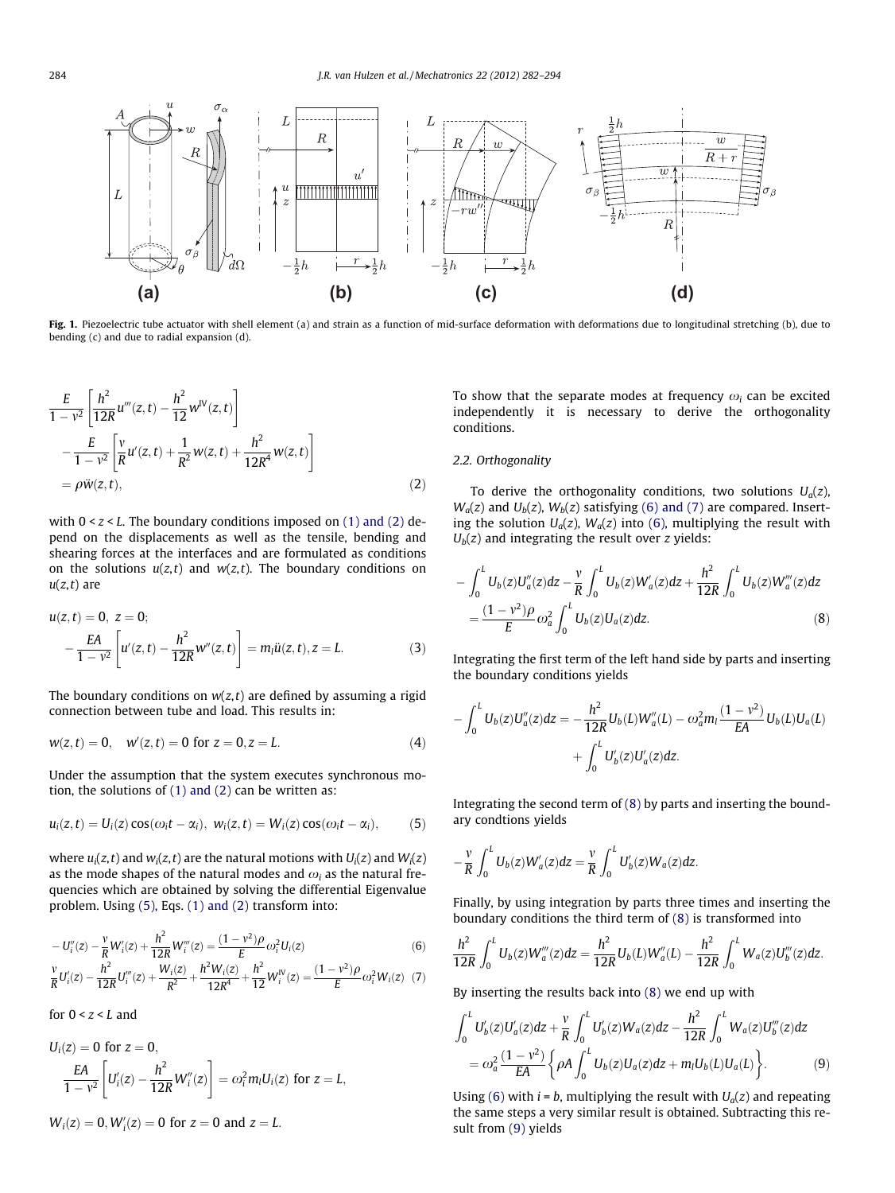<span id="page-2-0"></span>

Fig. 1. Piezoelectric tube actuator with shell element (a) and strain as a function of mid-surface deformation with deformations due to longitudinal stretching (b), due to bending (c) and due to radial expansion (d).

$$
\frac{E}{1 - v^2} \left[ \frac{h^2}{12R} u'''(z, t) - \frac{h^2}{12} w^{IV}(z, t) \right]
$$
  
\n
$$
- \frac{E}{1 - v^2} \left[ \frac{v}{R} u'(z, t) + \frac{1}{R^2} w(z, t) + \frac{h^2}{12R^4} w(z, t) \right]
$$
  
\n
$$
= \rho \ddot{w}(z, t), \qquad (2)
$$

with  $0 < z < L$ . The boundary conditions imposed on [\(1\) and \(2\)](#page-1-0) depend on the displacements as well as the tensile, bending and shearing forces at the interfaces and are formulated as conditions on the solutions  $u(z,t)$  and  $w(z,t)$ . The boundary conditions on  $u(z,t)$  are

$$
u(z,t) = 0, \ z = 0; -\frac{EA}{1 - v^2} \left[ u'(z,t) - \frac{h^2}{12R} w''(z,t) \right] = m_l \ddot{u}(z,t), z = L.
$$
 (3)

The boundary conditions on  $w(z,t)$  are defined by assuming a rigid connection between tube and load. This results in:

$$
w(z, t) = 0, \quad w'(z, t) = 0 \text{ for } z = 0, z = L. \tag{4}
$$

Under the assumption that the system executes synchronous motion, the solutions of  $(1)$  and  $(2)$  can be written as:

$$
u_i(z,t) = U_i(z) \cos(\omega_i t - \alpha_i), \ w_i(z,t) = W_i(z) \cos(\omega_i t - \alpha_i), \qquad (5)
$$

where  $u_i(z,t)$  and  $w_i(z,t)$  are the natural motions with  $U_i(z)$  and  $W_i(z)$ as the mode shapes of the natural modes and  $\omega_i$  as the natural frequencies which are obtained by solving the differential Eigenvalue problem. Using (5), Eqs. [\(1\) and \(2\)](#page-1-0) transform into:

$$
-U_i''(z) - \frac{v}{R}W_i'(z) + \frac{h^2}{12R}W_i'''(z) = \frac{(1 - v^2)\rho}{E}\omega_i^2 U_i(z)
$$
(6)

$$
\frac{v}{R}U'_{i}(z) - \frac{h^{2}}{12R}U''_{i}(z) + \frac{W_{i}(z)}{R^{2}} + \frac{h^{2}W_{i}(z)}{12R^{4}} + \frac{h^{2}}{12}W^{IV}_{i}(z) = \frac{(1 - v^{2})\rho}{E}\omega_{i}^{2}W_{i}(z)
$$
 (7)

for  $0 < z < L$  and

$$
U_i(z) = 0 \text{ for } z = 0,
$$
  

$$
\frac{EA}{1 - v^2} \left[ U'_i(z) - \frac{h^2}{12R} W''_i(z) \right] = \omega_i^2 m_i U_i(z) \text{ for } z = L,
$$

 $W_i(z) = 0, W'_i(z) = 0$  for  $z = 0$  and  $z = L$ .

To show that the separate modes at frequency  $\omega_i$  can be excited independently it is necessary to derive the orthogonality conditions.

### 2.2. Orthogonality

To derive the orthogonality conditions, two solutions  $U_a(z)$ ,  $W_a(z)$  and  $U_b(z)$ ,  $W_b(z)$  satisfying (6) and (7) are compared. Inserting the solution  $U_a(z)$ ,  $W_a(z)$  into (6), multiplying the result with  $U_b(z)$  and integrating the result over z yields:

$$
-\int_0^L U_b(z)U_a''(z)dz - \frac{v}{R} \int_0^L U_b(z)W_a'(z)dz + \frac{h^2}{12R} \int_0^L U_b(z)W_a'''(z)dz = \frac{(1 - v^2)\rho}{E} \omega_a^2 \int_0^L U_b(z)U_a(z)dz.
$$
(8)

Integrating the first term of the left hand side by parts and inserting the boundary conditions yields

$$
-\int_0^L U_b(z)U_a''(z)dz = -\frac{h^2}{12R}U_b(L)W_a''(L) - \omega_a^2 m_l \frac{(1 - v^2)}{EA}U_b(L)U_a(L) + \int_0^L U_b'(z)U_a'(z)dz.
$$

Integrating the second term of (8) by parts and inserting the boundary condtions yields

$$
-\frac{\nu}{R}\int_0^L U_b(z)W'_a(z)dz = \frac{\nu}{R}\int_0^L U'_b(z)W_a(z)dz.
$$

Finally, by using integration by parts three times and inserting the boundary conditions the third term of (8) is transformed into

$$
\frac{h^2}{12R} \int_0^L U_b(z) W_a'''(z) dz = \frac{h^2}{12R} U_b(L) W_a''(L) - \frac{h^2}{12R} \int_0^L W_a(z) U_b'''(z) dz.
$$

By inserting the results back into (8) we end up with

$$
\int_0^L U'_b(z)U'_a(z)dz + \frac{v}{R} \int_0^L U'_b(z)W_a(z)dz - \frac{h^2}{12R} \int_0^L W_a(z)U''_b(z)dz \n= \omega_a^2 \frac{(1 - v^2)}{EA} \left\{ \rho A \int_0^L U_b(z)U_a(z)dz + m_l U_b(L)U_a(L) \right\}.
$$
\n(9)

Using (6) with  $i = b$ , multiplying the result with  $U_a(z)$  and repeating the same steps a very similar result is obtained. Subtracting this result from (9) yields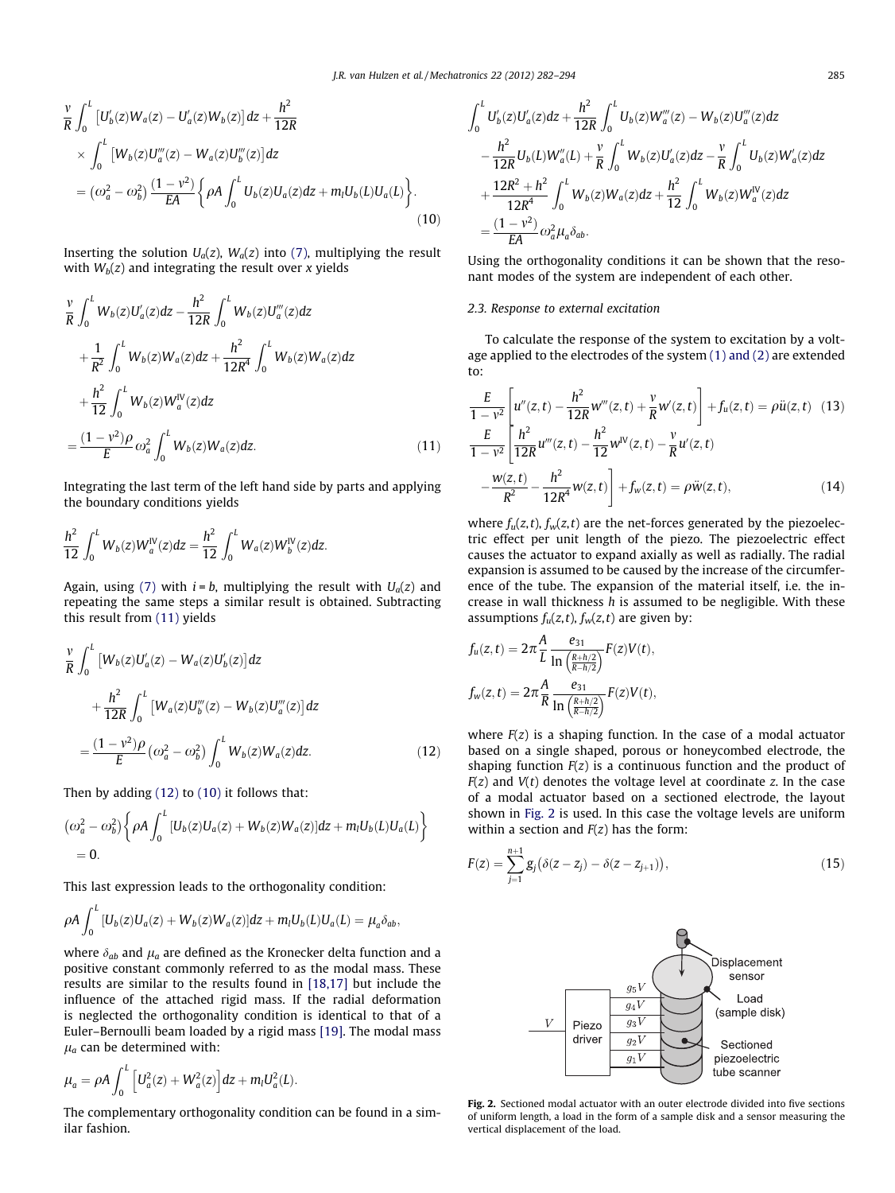<span id="page-3-0"></span>
$$
\frac{v}{R} \int_0^L \left[ U'_b(z) W_a(z) - U'_a(z) W_b(z) \right] dz + \frac{h^2}{12R} \times \int_0^L \left[ W_b(z) U'''_a(z) - W_a(z) U'''_b(z) \right] dz \n= (\omega_a^2 - \omega_b^2) \frac{(1 - v^2)}{EA} \left\{ \rho A \int_0^L U_b(z) U_a(z) dz + m_l U_b(L) U_a(L) \right\}.
$$
\n(10)

Inserting the solution  $U_a(z)$ ,  $W_a(z)$  into (7), multiplying the result with  $W_b(z)$  and integrating the result over x yields

$$
\frac{v}{R} \int_0^L W_b(z) U_a'(z) dz - \frac{h^2}{12R} \int_0^L W_b(z) U_a'''(z) dz \n+ \frac{1}{R^2} \int_0^L W_b(z) W_a(z) dz + \frac{h^2}{12R^4} \int_0^L W_b(z) W_a(z) dz \n+ \frac{h^2}{12} \int_0^L W_b(z) W_a^{IV}(z) dz \n= \frac{(1 - v^2)\rho}{E} \omega_a^2 \int_0^L W_b(z) W_a(z) dz.
$$
\n(11)

Integrating the last term of the left hand side by parts and applying the boundary conditions yields

$$
\frac{h^2}{12} \int_0^L W_b(z) W_a^{\text{IV}}(z) dz = \frac{h^2}{12} \int_0^L W_a(z) W_b^{\text{IV}}(z) dz.
$$

Again, using (7) with  $i = b$ , multiplying the result with  $U_a(z)$  and repeating the same steps a similar result is obtained. Subtracting this result from (11) yields

$$
\frac{v}{R} \int_0^L \left[ W_b(z) U_a'(z) - W_a(z) U_b'(z) \right] dz \n+ \frac{h^2}{12R} \int_0^L \left[ W_a(z) U_b'''(z) - W_b(z) U_a'''(z) \right] dz \n= \frac{(1 - v^2)\rho}{E} \left( \omega_a^2 - \omega_b^2 \right) \int_0^L W_b(z) W_a(z) dz.
$$
\n(12)

Then by adding (12) to (10) it follows that:

$$
(\omega_a^2 - \omega_b^2) \left\{ \rho A \int_0^L [U_b(z)U_a(z) + W_b(z)W_a(z)]dz + m_l U_b(L)U_a(L) \right\}
$$
  
= 0.

This last expression leads to the orthogonality condition:

$$
\rho A \int_0^L \left[ U_b(z) U_a(z) + W_b(z) W_a(z) \right] dz + m_l U_b(L) U_a(L) = \mu_a \delta_{ab},
$$

where  $\delta_{ab}$  and  $\mu_a$  are defined as the Kronecker delta function and a positive constant commonly referred to as the modal mass. These results are similar to the results found in [\[18,17\]](#page-12-0) but include the influence of the attached rigid mass. If the radial deformation is neglected the orthogonality condition is identical to that of a Euler–Bernoulli beam loaded by a rigid mass [\[19\]](#page-12-0). The modal mass  $\mu_a$  can be determined with:

$$
\mu_a = \rho A \int_0^L \left[ U_a^2(z) + W_a^2(z) \right] dz + m_l U_a^2(L).
$$

The complementary orthogonality condition can be found in a similar fashion.

$$
\int_0^L U'_b(z)U'_a(z)dz + \frac{h^2}{12R} \int_0^L U_b(z)W'''_a(z) - W_b(z)U'''_a(z)dz \n- \frac{h^2}{12R}U_b(L)W''_a(L) + \frac{v}{R} \int_0^L W_b(z)U'_a(z)dz - \frac{v}{R} \int_0^L U_b(z)W'_a(z)dz \n+ \frac{12R^2 + h^2}{12R^4} \int_0^L W_b(z)W_a(z)dz + \frac{h^2}{12} \int_0^L W_b(z)W_a^W(z)dz \n= \frac{(1 - v^2)}{EA} \omega_a^2 \mu_a \delta_{ab}.
$$

Using the orthogonality conditions it can be shown that the resonant modes of the system are independent of each other.

#### 2.3. Response to external excitation

To calculate the response of the system to excitation by a voltage applied to the electrodes of the system [\(1\) and \(2\)](#page-1-0) are extended to:

$$
\frac{E}{1 - v^2} \left[ u''(z, t) - \frac{h^2}{12R} w'''(z, t) + \frac{v}{R} w'(z, t) \right] + f_u(z, t) = \rho \ddot{u}(z, t) \quad (13)
$$
\n
$$
\frac{E}{1 - v^2} \left[ \frac{h^2}{12R} u'''(z, t) - \frac{h^2}{12} w^W(z, t) - \frac{v}{R} u'(z, t) - \frac{w(z, t)}{R^2} - \frac{h^2}{12R^4} w(z, t) \right] + f_w(z, t) = \rho \ddot{w}(z, t), \qquad (14)
$$

where  $f_u(z,t)$ ,  $f_w(z,t)$  are the net-forces generated by the piezoelectric effect per unit length of the piezo. The piezoelectric effect causes the actuator to expand axially as well as radially. The radial expansion is assumed to be caused by the increase of the circumference of the tube. The expansion of the material itself, i.e. the increase in wall thickness  $h$  is assumed to be negligible. With these assumptions  $f_u(z,t)$ ,  $f_w(z,t)$  are given by:

$$
f_u(z,t) = 2\pi \frac{A}{L} \frac{e_{31}}{\ln\left(\frac{R+h/2}{R-h/2}\right)} F(z)V(t),
$$
  

$$
f_w(z,t) = 2\pi \frac{A}{R} \frac{e_{31}}{\ln\left(\frac{R+h/2}{R-h/2}\right)} F(z)V(t),
$$

where  $F(z)$  is a shaping function. In the case of a modal actuator based on a single shaped, porous or honeycombed electrode, the shaping function  $F(z)$  is a continuous function and the product of  $F(z)$  and  $V(t)$  denotes the voltage level at coordinate z. In the case of a modal actuator based on a sectioned electrode, the layout shown in Fig. 2 is used. In this case the voltage levels are uniform within a section and  $F(z)$  has the form:

$$
F(z) = \sum_{j=1}^{n+1} g_j(\delta(z - z_j) - \delta(z - z_{j+1})),
$$
\n(15)



Fig. 2. Sectioned modal actuator with an outer electrode divided into five sections of uniform length, a load in the form of a sample disk and a sensor measuring the vertical displacement of the load.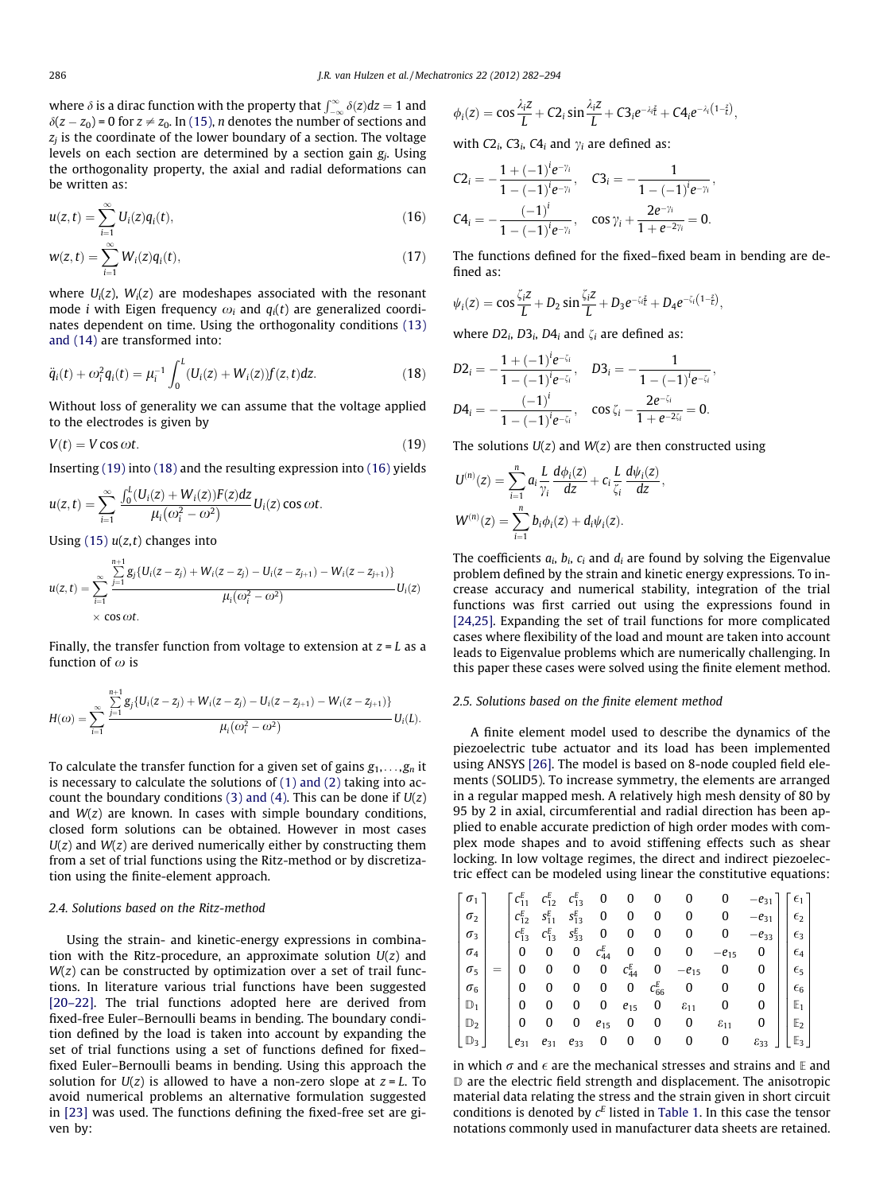where  $\delta$  is a dirac function with the property that  $\int_{-\infty}^{\infty} \delta(z) dz = 1$  and  $\delta(z-z_0)$  = 0 for  $z \neq z_0$ . In [\(15\)](#page-3-0), n denotes the number of sections and  $z_i$  is the coordinate of the lower boundary of a section. The voltage levels on each section are determined by a section gain  $g_i$ . Using the orthogonality property, the axial and radial deformations can be written as:

$$
u(z,t) = \sum_{i=1}^{\infty} U_i(z) q_i(t),
$$
\n(16)

$$
w(z,t) = \sum_{i=1}^{\infty} W_i(z)q_i(t),
$$
\n(17)

where  $U_i(z)$ ,  $W_i(z)$  are modeshapes associated with the resonant mode *i* with Eigen frequency  $\omega_i$  and  $q_i(t)$  are generalized coordinates dependent on time. Using the orthogonality conditions [\(13\)](#page-3-0) [and \(14\)](#page-3-0) are transformed into:

$$
\ddot{q}_i(t) + \omega_i^2 q_i(t) = \mu_i^{-1} \int_0^L (U_i(z) + W_i(z)) f(z, t) dz.
$$
 (18)

Without loss of generality we can assume that the voltage applied to the electrodes is given by

$$
V(t) = V \cos \omega t. \tag{19}
$$

Inserting (19) into (18) and the resulting expression into (16) yields

$$
u(z,t)=\sum_{i=1}^\infty\frac{\int_0^L(U_i(z)+W_i(z))F(z)dz}{\mu_i(\omega_i^2-\omega^2)}U_i(z)\cos \omega t.
$$

Using  $(15)$   $u(z,t)$  changes into

$$
u(z,t) = \sum_{i=1}^{\infty} \frac{\sum_{j=1}^{n+1} g_j \{U_i(z-z_j) + W_i(z-z_j) - U_i(z-z_{j+1}) - W_i(z-z_{j+1})\}}{\mu_i(\omega_i^2 - \omega^2)} U_i(z)
$$
  
× cos  $\omega t$ .

Finally, the transfer function from voltage to extension at  $z = L$  as a function of  $\omega$  is

$$
H(\omega) = \sum_{i=1}^{\infty} \frac{\sum_{j=1}^{n+1} g_j \{U_i(z-z_j) + W_i(z-z_j) - U_i(z-z_{j+1}) - W_i(z-z_{j+1})\}}{\mu_i(\omega_i^2 - \omega^2)} U_i(L).
$$

To calculate the transfer function for a given set of gains  $g_1, \ldots, g_n$  it is necessary to calculate the solutions of  $(1)$  and  $(2)$  taking into ac-count the boundary conditions [\(3\) and \(4\).](#page-2-0) This can be done if  $U(z)$ and  $W(z)$  are known. In cases with simple boundary conditions, closed form solutions can be obtained. However in most cases  $U(z)$  and  $W(z)$  are derived numerically either by constructing them from a set of trial functions using the Ritz-method or by discretization using the finite-element approach.

#### 2.4. Solutions based on the Ritz-method

Using the strain- and kinetic-energy expressions in combination with the Ritz-procedure, an approximate solution  $U(z)$  and  $W(z)$  can be constructed by optimization over a set of trail functions. In literature various trial functions have been suggested [\[20–22\]](#page-12-0). The trial functions adopted here are derived from fixed-free Euler–Bernoulli beams in bending. The boundary condition defined by the load is taken into account by expanding the set of trial functions using a set of functions defined for fixed– fixed Euler–Bernoulli beams in bending. Using this approach the solution for  $U(z)$  is allowed to have a non-zero slope at  $z = L$ . To avoid numerical problems an alternative formulation suggested in [\[23\]](#page-12-0) was used. The functions defining the fixed-free set are given by:

$$
\phi_i(z) = \cos\frac{\lambda_i z}{L} + C2_i \sin\frac{\lambda_i z}{L} + C3_i e^{-\lambda_i \tilde{t}} + C4_i e^{-\lambda_i \left(1 - \frac{z}{L}\right)},
$$

with  $C_1$ ,  $C_3$ ,  $C_4$  and  $\gamma_i$  are defined as:

$$
C2_i = -\frac{1 + (-1)^i e^{-\gamma_i}}{1 - (-1)^i e^{-\gamma_i}}, \quad C3_i = -\frac{1}{1 - (-1)^i e^{-\gamma_i}},
$$
  
\n
$$
C4_i = -\frac{(-1)^i}{1 - (-1)^i e^{-\gamma_i}}, \quad \cos \gamma_i + \frac{2e^{-\gamma_i}}{1 + e^{-2\gamma_i}} = 0.
$$

The functions defined for the fixed–fixed beam in bending are defined as:

$$
\psi_i(z) = \cos \frac{\zeta_i z}{L} + D_2 \sin \frac{\zeta_i z}{L} + D_3 e^{-\zeta_i \tilde{z}} + D_4 e^{-\zeta_i (1 - \tilde{z})},
$$

where  $D2_i$ ,  $D3_i$ ,  $D4_i$  and  $\zeta_i$  are defined as:

$$
D2_i = -\frac{1 + (-1)^i e^{-\zeta_i}}{1 - (-1)^i e^{-\zeta_i}}, \quad D3_i = -\frac{1}{1 - (-1)^i e^{-\zeta_i}},
$$
  

$$
D4_i = -\frac{(-1)^i}{1 - (-1)^i e^{-\zeta_i}}, \quad \cos \zeta_i - \frac{2e^{-\zeta_i}}{1 + e^{-2\zeta_i}} = 0.
$$

The solutions  $U(z)$  and  $W(z)$  are then constructed using

$$
U^{(n)}(z) = \sum_{i=1}^n a_i \frac{L}{\gamma_i} \frac{d\phi_i(z)}{dz} + c_i \frac{L}{\zeta_i} \frac{d\psi_i(z)}{dz},
$$
  

$$
W^{(n)}(z) = \sum_{i=1}^n b_i \phi_i(z) + d_i \psi_i(z).
$$

The coefficients  $a_i$ ,  $b_i$ ,  $c_i$  and  $d_i$  are found by solving the Eigenvalue problem defined by the strain and kinetic energy expressions. To increase accuracy and numerical stability, integration of the trial functions was first carried out using the expressions found in [\[24,25\]](#page-12-0). Expanding the set of trail functions for more complicated cases where flexibility of the load and mount are taken into account leads to Eigenvalue problems which are numerically challenging. In this paper these cases were solved using the finite element method.

#### 2.5. Solutions based on the finite element method

A finite element model used to describe the dynamics of the piezoelectric tube actuator and its load has been implemented using ANSYS [\[26\]](#page-12-0). The model is based on 8-node coupled field elements (SOLID5). To increase symmetry, the elements are arranged in a regular mapped mesh. A relatively high mesh density of 80 by 95 by 2 in axial, circumferential and radial direction has been applied to enable accurate prediction of high order modes with complex mode shapes and to avoid stiffening effects such as shear locking. In low voltage regimes, the direct and indirect piezoelectric effect can be modeled using linear the constitutive equations:

|                | $c_{11}^E$   | $c_{12}^E$ | $c_{13}^E$ | $\bf{0}$   | $\bf{0}$         | $\mathbf{0}$            | U                  |                    | $-e_{31}$ |                |
|----------------|--------------|------------|------------|------------|------------------|-------------------------|--------------------|--------------------|-----------|----------------|
| $\sigma_2$     | $c_{12}^E$   | $S_{11}^E$ | $S_{13}^E$ | 0          | 0                | 0                       | 0                  | 0                  | $-e_{31}$ | $\epsilon_2$   |
| $\sigma_3$     | $c_{13}^E$   | $c_{13}^E$ | $S_{33}^E$ | 0          | $\boldsymbol{0}$ | 0                       | 0                  | 0                  | $-e_{33}$ | $\epsilon_3$   |
| $\sigma_4$     | $\mathbf{0}$ | 0          | 0          | $c_{44}^E$ | $\bf{0}$         | 0                       | 0                  | $-e_{15}$          | 0         | $\epsilon_4$   |
| $\sigma_{5}$   | 0            | 0          | 0          | 0          | $c_{44}^E$       | $\overline{\mathbf{0}}$ | $-e_{15}$          | 0                  | 0         | $\epsilon_{5}$ |
| $\sigma_{6}$   | 0            | 0          | 0          | 0          | 0                | $c_{66}^E$              | 0                  | 0                  | 0         | $\epsilon_6$   |
| $\mathbb{D}_1$ | 0            | 0          | 0          | 0          | $e_{15}$         | 0                       | $\varepsilon_{11}$ | 0                  | 0         | E1.            |
| $\mathbb{D}_2$ | 0            | 0          | 0          | $e_{15}$   | 0                | 0                       | 0                  | $\varepsilon_{11}$ |           | $\mathbb{E}_2$ |
|                | $e_{31}$     | $e_{31}$   | $e_{33}$   | 0          | 0                | 0                       | 0                  | 0                  | ६३३       | ⊩∘ւ            |

in which  $\sigma$  and  $\epsilon$  are the mechanical stresses and strains and  $\mathbb E$  and D are the electric field strength and displacement. The anisotropic material data relating the stress and the strain given in short circuit conditions is denoted by  $c^E$  listed in [Table 1.](#page-5-0) In this case the tensor notations commonly used in manufacturer data sheets are retained.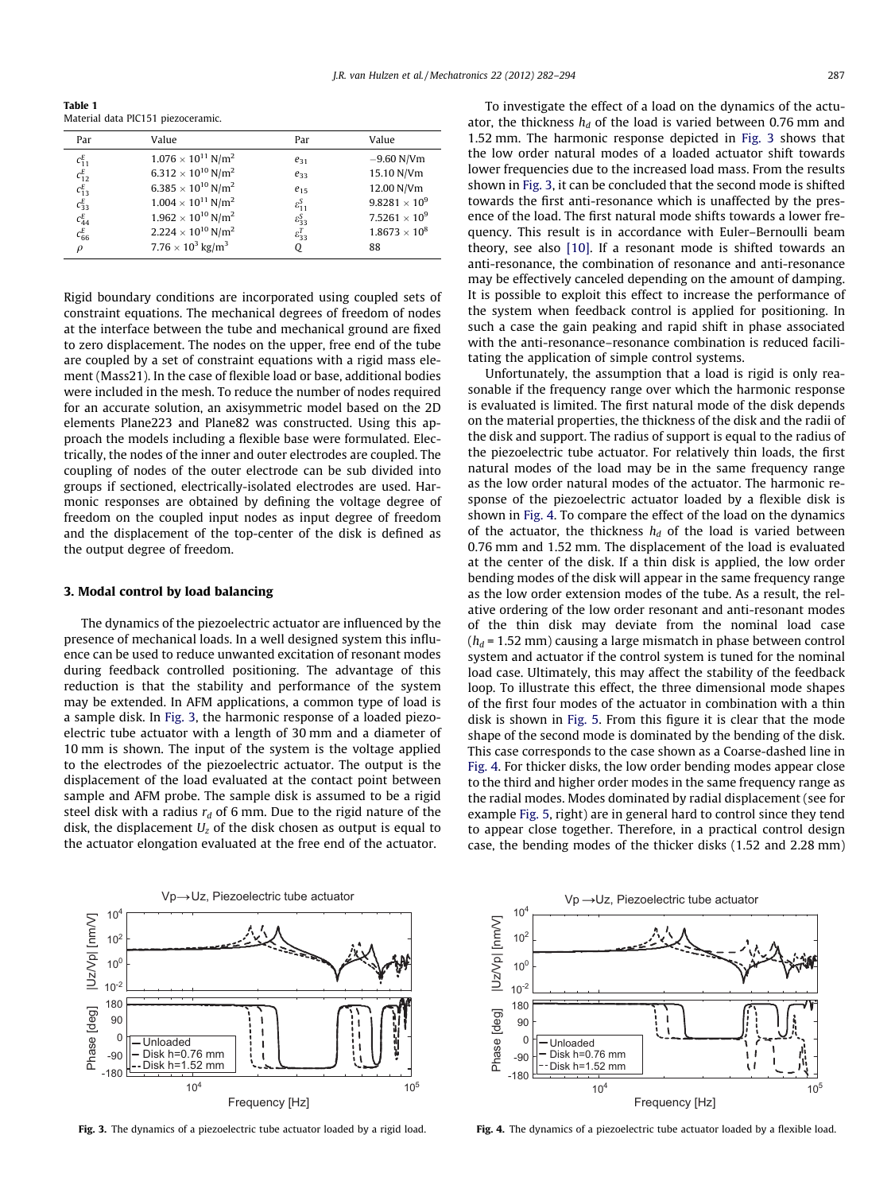<span id="page-5-0"></span>Table 1 Material data PIC151 piezoceramic.

| Par                                    | Value                                           | Par                  | Value                  |
|----------------------------------------|-------------------------------------------------|----------------------|------------------------|
| $c_{11}^{\cal E}$                      | $1.076 \times 10^{11}$ N/m <sup>2</sup>         | $e_{31}$             | $-9.60$ N/Vm           |
| $c_{12}^E$<br>$c_{13}^E$<br>$c_{33}^E$ | $6.312 \times 10^{10}$ N/m <sup>2</sup>         | $e_{33}$             | 15.10 N/Vm             |
|                                        | $6.385 \times 10^{10}$ N/m <sup>2</sup>         | $e_{15}$             | 12.00 N/Vm             |
|                                        | $1.004 \times 10^{11}$ N/m <sup>2</sup>         | $\varepsilon_{11}^S$ | $9.8281 \times 10^{9}$ |
|                                        | $1.962 \times 10^{10}$ N/m <sup>2</sup>         | $\varepsilon_{33}^S$ | $7.5261 \times 10^{9}$ |
| $c_{44}^{E}$<br>$c_{66}^{E}$           | $2.224 \times 10^{10}$ N/m <sup>2</sup>         | $\varepsilon_{33}^T$ | $1.8673 \times 10^{8}$ |
| $\rho$                                 | 7.76 $\times$ 10 <sup>3</sup> kg/m <sup>3</sup> | ο                    | 88                     |
|                                        |                                                 |                      |                        |

Rigid boundary conditions are incorporated using coupled sets of constraint equations. The mechanical degrees of freedom of nodes at the interface between the tube and mechanical ground are fixed to zero displacement. The nodes on the upper, free end of the tube are coupled by a set of constraint equations with a rigid mass element (Mass21). In the case of flexible load or base, additional bodies were included in the mesh. To reduce the number of nodes required for an accurate solution, an axisymmetric model based on the 2D elements Plane223 and Plane82 was constructed. Using this approach the models including a flexible base were formulated. Electrically, the nodes of the inner and outer electrodes are coupled. The coupling of nodes of the outer electrode can be sub divided into groups if sectioned, electrically-isolated electrodes are used. Harmonic responses are obtained by defining the voltage degree of freedom on the coupled input nodes as input degree of freedom and the displacement of the top-center of the disk is defined as the output degree of freedom.

#### 3. Modal control by load balancing

The dynamics of the piezoelectric actuator are influenced by the presence of mechanical loads. In a well designed system this influence can be used to reduce unwanted excitation of resonant modes during feedback controlled positioning. The advantage of this reduction is that the stability and performance of the system may be extended. In AFM applications, a common type of load is a sample disk. In Fig. 3, the harmonic response of a loaded piezoelectric tube actuator with a length of 30 mm and a diameter of 10 mm is shown. The input of the system is the voltage applied to the electrodes of the piezoelectric actuator. The output is the displacement of the load evaluated at the contact point between sample and AFM probe. The sample disk is assumed to be a rigid steel disk with a radius  $r_d$  of 6 mm. Due to the rigid nature of the disk, the displacement  $U_z$  of the disk chosen as output is equal to the actuator elongation evaluated at the free end of the actuator.

 $Vp \rightarrow Uz$ , Piezoelectric tube actuator  $10<sup>4</sup>$ [Uz/Vp| [nm/V] |Uz/Vp| [nm/V]  $10<sup>2</sup>$  $10<sup>0</sup>$  $10^{-2}$ 180 Phase [deg] Phase [deg] 90 0 Unloaded Disk h=0.76 mm -90 Disk h=1.52 mm -180  $10^4$  10<sup>5</sup> Frequency [Hz]

Fig. 3. The dynamics of a piezoelectric tube actuator loaded by a rigid load.

To investigate the effect of a load on the dynamics of the actuator, the thickness  $h_d$  of the load is varied between 0.76 mm and 1.52 mm. The harmonic response depicted in Fig. 3 shows that the low order natural modes of a loaded actuator shift towards lower frequencies due to the increased load mass. From the results shown in Fig. 3, it can be concluded that the second mode is shifted towards the first anti-resonance which is unaffected by the presence of the load. The first natural mode shifts towards a lower frequency. This result is in accordance with Euler–Bernoulli beam theory, see also [\[10\].](#page-12-0) If a resonant mode is shifted towards an anti-resonance, the combination of resonance and anti-resonance may be effectively canceled depending on the amount of damping. It is possible to exploit this effect to increase the performance of the system when feedback control is applied for positioning. In such a case the gain peaking and rapid shift in phase associated with the anti-resonance–resonance combination is reduced facilitating the application of simple control systems.

Unfortunately, the assumption that a load is rigid is only reasonable if the frequency range over which the harmonic response is evaluated is limited. The first natural mode of the disk depends on the material properties, the thickness of the disk and the radii of the disk and support. The radius of support is equal to the radius of the piezoelectric tube actuator. For relatively thin loads, the first natural modes of the load may be in the same frequency range as the low order natural modes of the actuator. The harmonic response of the piezoelectric actuator loaded by a flexible disk is shown in Fig. 4. To compare the effect of the load on the dynamics of the actuator, the thickness  $h_d$  of the load is varied between 0.76 mm and 1.52 mm. The displacement of the load is evaluated at the center of the disk. If a thin disk is applied, the low order bending modes of the disk will appear in the same frequency range as the low order extension modes of the tube. As a result, the relative ordering of the low order resonant and anti-resonant modes of the thin disk may deviate from the nominal load case  $(h_d = 1.52$  mm) causing a large mismatch in phase between control system and actuator if the control system is tuned for the nominal load case. Ultimately, this may affect the stability of the feedback loop. To illustrate this effect, the three dimensional mode shapes of the first four modes of the actuator in combination with a thin disk is shown in [Fig. 5.](#page-6-0) From this figure it is clear that the mode shape of the second mode is dominated by the bending of the disk. This case corresponds to the case shown as a Coarse-dashed line in Fig. 4. For thicker disks, the low order bending modes appear close to the third and higher order modes in the same frequency range as the radial modes. Modes dominated by radial displacement (see for example [Fig. 5,](#page-6-0) right) are in general hard to control since they tend to appear close together. Therefore, in a practical control design case, the bending modes of the thicker disks (1.52 and 2.28 mm)



Fig. 4. The dynamics of a piezoelectric tube actuator loaded by a flexible load.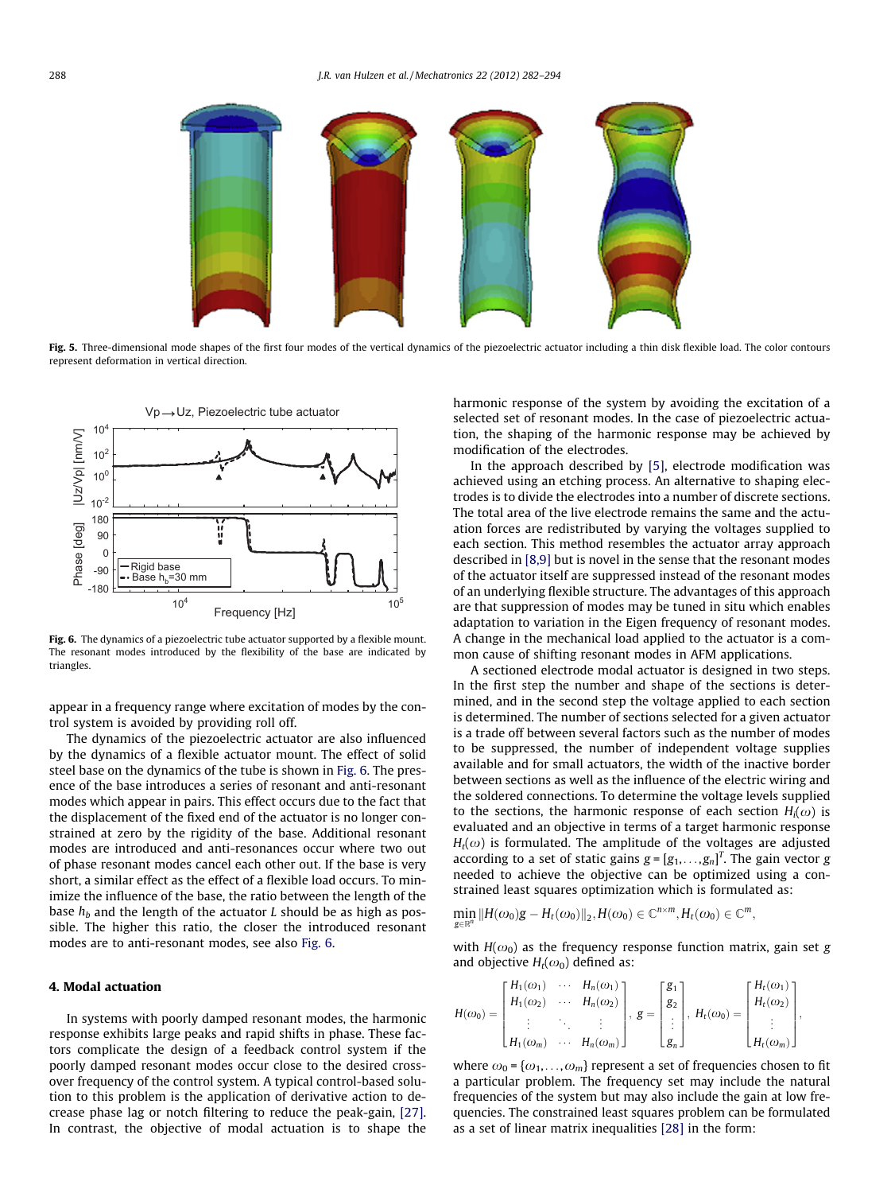<span id="page-6-0"></span>

Fig. 5. Three-dimensional mode shapes of the first four modes of the vertical dynamics of the piezoelectric actuator including a thin disk flexible load. The color contours represent deformation in vertical direction.



Fig. 6. The dynamics of a piezoelectric tube actuator supported by a flexible mount. The resonant modes introduced by the flexibility of the base are indicated by triangles.

appear in a frequency range where excitation of modes by the control system is avoided by providing roll off.

The dynamics of the piezoelectric actuator are also influenced by the dynamics of a flexible actuator mount. The effect of solid steel base on the dynamics of the tube is shown in Fig. 6. The presence of the base introduces a series of resonant and anti-resonant modes which appear in pairs. This effect occurs due to the fact that the displacement of the fixed end of the actuator is no longer constrained at zero by the rigidity of the base. Additional resonant modes are introduced and anti-resonances occur where two out of phase resonant modes cancel each other out. If the base is very short, a similar effect as the effect of a flexible load occurs. To minimize the influence of the base, the ratio between the length of the base  $h_b$  and the length of the actuator L should be as high as possible. The higher this ratio, the closer the introduced resonant modes are to anti-resonant modes, see also Fig. 6.

#### 4. Modal actuation

In systems with poorly damped resonant modes, the harmonic response exhibits large peaks and rapid shifts in phase. These factors complicate the design of a feedback control system if the poorly damped resonant modes occur close to the desired crossover frequency of the control system. A typical control-based solution to this problem is the application of derivative action to decrease phase lag or notch filtering to reduce the peak-gain, [\[27\].](#page-12-0) In contrast, the objective of modal actuation is to shape the

harmonic response of the system by avoiding the excitation of a selected set of resonant modes. In the case of piezoelectric actuation, the shaping of the harmonic response may be achieved by modification of the electrodes.

In the approach described by [\[5\]](#page-12-0), electrode modification was achieved using an etching process. An alternative to shaping electrodes is to divide the electrodes into a number of discrete sections. The total area of the live electrode remains the same and the actuation forces are redistributed by varying the voltages supplied to each section. This method resembles the actuator array approach described in [\[8,9\]](#page-12-0) but is novel in the sense that the resonant modes of the actuator itself are suppressed instead of the resonant modes of an underlying flexible structure. The advantages of this approach are that suppression of modes may be tuned in situ which enables adaptation to variation in the Eigen frequency of resonant modes. A change in the mechanical load applied to the actuator is a common cause of shifting resonant modes in AFM applications.

A sectioned electrode modal actuator is designed in two steps. In the first step the number and shape of the sections is determined, and in the second step the voltage applied to each section is determined. The number of sections selected for a given actuator is a trade off between several factors such as the number of modes to be suppressed, the number of independent voltage supplies available and for small actuators, the width of the inactive border between sections as well as the influence of the electric wiring and the soldered connections. To determine the voltage levels supplied to the sections, the harmonic response of each section  $H_i(\omega)$  is evaluated and an objective in terms of a target harmonic response  $H_t(\omega)$  is formulated. The amplitude of the voltages are adjusted according to a set of static gains  $g = [g_1, \ldots, g_n]^T$ . The gain vector g needed to achieve the objective can be optimized using a constrained least squares optimization which is formulated as:

$$
\min_{g\in\mathbb{R}^n} \|H(\omega_0)g - H_t(\omega_0)\|_2, H(\omega_0) \in \mathbb{C}^{n \times m}, H_t(\omega_0) \in \mathbb{C}^m,
$$

with  $H(\omega_0)$  as the frequency response function matrix, gain set g and objective  $H_t(\omega_0)$  defined as:

$$
H(\omega_0) = \begin{bmatrix} H_1(\omega_1) & \cdots & H_n(\omega_1) \\ H_1(\omega_2) & \cdots & H_n(\omega_2) \\ \vdots & \ddots & \vdots \\ H_1(\omega_m) & \cdots & H_n(\omega_m) \end{bmatrix}, g = \begin{bmatrix} g_1 \\ g_2 \\ \vdots \\ g_n \end{bmatrix}, H_t(\omega_0) = \begin{bmatrix} H_t(\omega_1) \\ H_t(\omega_2) \\ \vdots \\ H_t(\omega_m) \end{bmatrix},
$$

where  $\omega_0$  = { $\omega_1, \ldots, \omega_m$ } represent a set of frequencies chosen to fit a particular problem. The frequency set may include the natural frequencies of the system but may also include the gain at low frequencies. The constrained least squares problem can be formulated as a set of linear matrix inequalities [\[28\]](#page-12-0) in the form: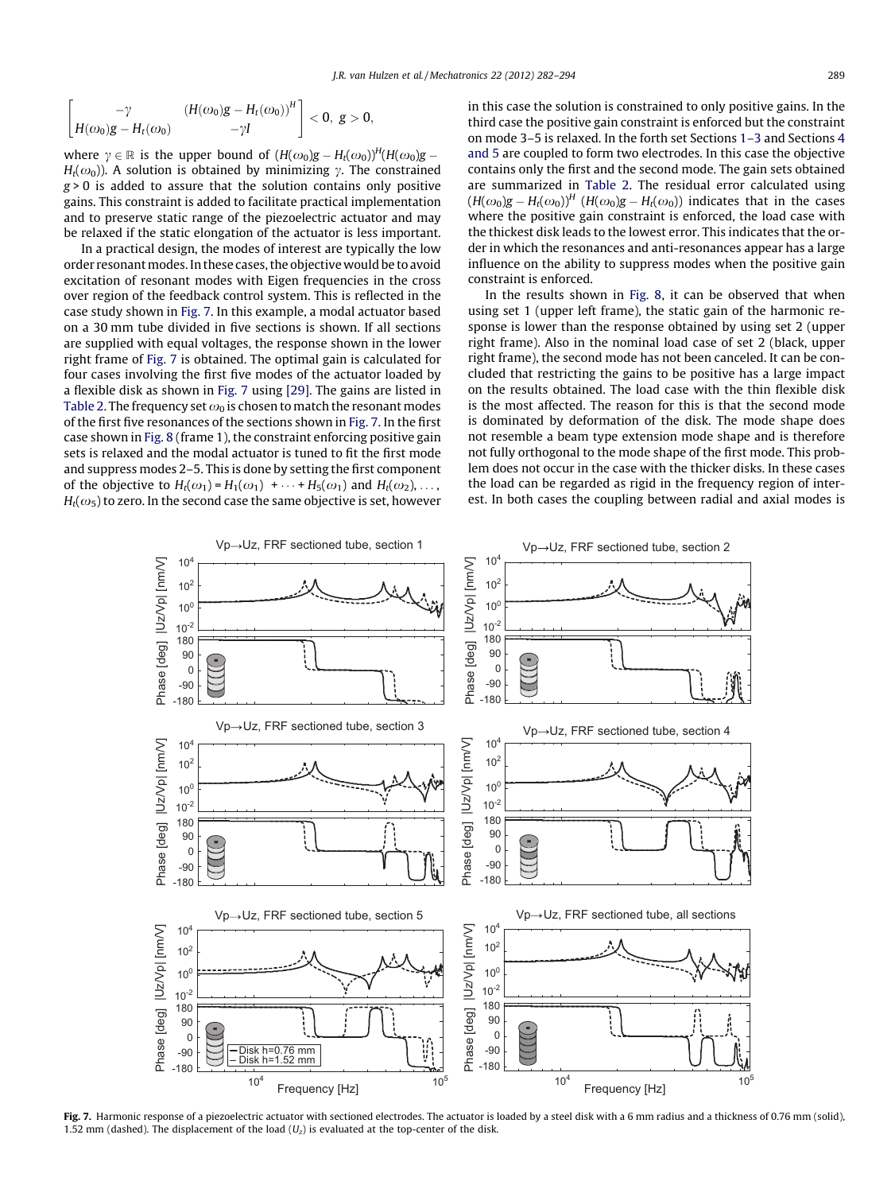<span id="page-7-0"></span>
$$
\begin{bmatrix} -\gamma & (H(\omega_0)g - H_t(\omega_0))^H \\ H(\omega_0)g - H_t(\omega_0) & -\gamma I \end{bmatrix} < 0, g > 0,
$$

where  $\gamma \in \mathbb{R}$  is the upper bound of  $(H(\omega_0)g - H_t(\omega_0))^H(H(\omega_0)g H_t(\omega_0)$ ). A solution is obtained by minimizing  $\gamma$ . The constrained  $g > 0$  is added to assure that the solution contains only positive gains. This constraint is added to facilitate practical implementation and to preserve static range of the piezoelectric actuator and may be relaxed if the static elongation of the actuator is less important.

In a practical design, the modes of interest are typically the low order resonant modes. In these cases, the objective would be to avoid excitation of resonant modes with Eigen frequencies in the cross over region of the feedback control system. This is reflected in the case study shown in Fig. 7. In this example, a modal actuator based on a 30 mm tube divided in five sections is shown. If all sections are supplied with equal voltages, the response shown in the lower right frame of Fig. 7 is obtained. The optimal gain is calculated for four cases involving the first five modes of the actuator loaded by a flexible disk as shown in Fig. 7 using [\[29\].](#page-12-0) The gains are listed in [Table 2](#page-8-0). The frequency set  $\omega_0$  is chosen to match the resonant modes of the first five resonances of the sections shown in Fig. 7. In the first case shown in [Fig. 8](#page-8-0) (frame 1), the constraint enforcing positive gain sets is relaxed and the modal actuator is tuned to fit the first mode and suppress modes 2–5. This is done by setting the first component of the objective to  $H_t(\omega_1) = H_1(\omega_1) + \cdots + H_5(\omega_1)$  and  $H_t(\omega_2), \ldots$ ,  $H_t(\omega_5)$  to zero. In the second case the same objective is set, however in this case the solution is constrained to only positive gains. In the third case the positive gain constraint is enforced but the constraint on mode 3–5 is relaxed. In the forth set Sections [1–3](#page-0-0) and Sections [4](#page-6-0) [and 5](#page-6-0) are coupled to form two electrodes. In this case the objective contains only the first and the second mode. The gain sets obtained are summarized in [Table 2.](#page-8-0) The residual error calculated using  $(H(\omega_0)g - H_t(\omega_0))^H$   $(H(\omega_0)g - H_t(\omega_0))$  indicates that in the cases where the positive gain constraint is enforced, the load case with the thickest disk leads to the lowest error. This indicates that the order in which the resonances and anti-resonances appear has a large influence on the ability to suppress modes when the positive gain constraint is enforced.

In the results shown in [Fig. 8,](#page-8-0) it can be observed that when using set 1 (upper left frame), the static gain of the harmonic response is lower than the response obtained by using set 2 (upper right frame). Also in the nominal load case of set 2 (black, upper right frame), the second mode has not been canceled. It can be concluded that restricting the gains to be positive has a large impact on the results obtained. The load case with the thin flexible disk is the most affected. The reason for this is that the second mode is dominated by deformation of the disk. The mode shape does not resemble a beam type extension mode shape and is therefore not fully orthogonal to the mode shape of the first mode. This problem does not occur in the case with the thicker disks. In these cases the load can be regarded as rigid in the frequency region of interest. In both cases the coupling between radial and axial modes is



Fig. 7. Harmonic response of a piezoelectric actuator with sectioned electrodes. The actuator is loaded by a steel disk with a 6 mm radius and a thickness of 0.76 mm (solid), 1.52 mm (dashed). The displacement of the load  $(U_z)$  is evaluated at the top-center of the disk.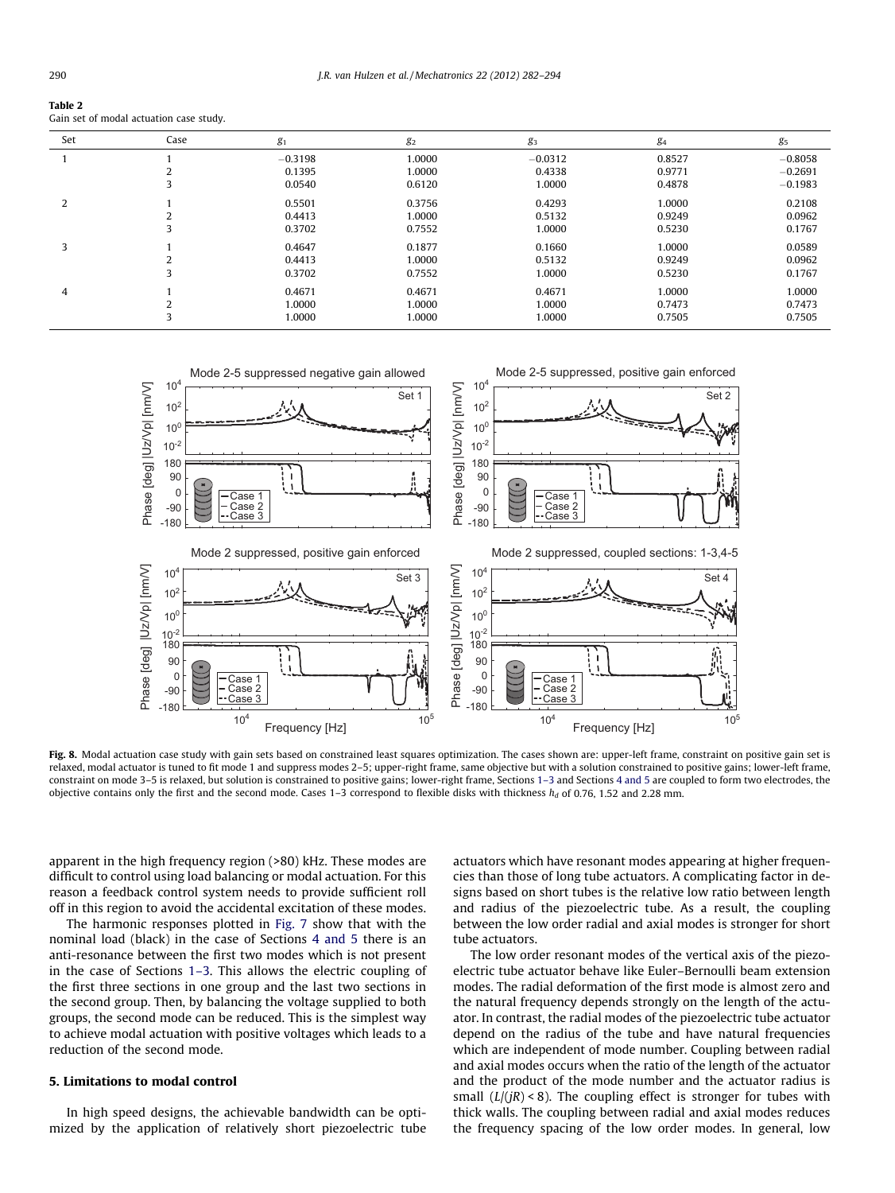<span id="page-8-0"></span>Table 2

Gain set of modal actuation case study.

| Set | Case | g <sub>1</sub> | $g_2$  | $g_3$     | $g_4$  | $g_5$     |
|-----|------|----------------|--------|-----------|--------|-----------|
|     |      | $-0.3198$      | 1.0000 | $-0.0312$ | 0.8527 | $-0.8058$ |
|     |      | 0.1395         | 1.0000 | 0.4338    | 0.9771 | $-0.2691$ |
|     |      | 0.0540         | 0.6120 | 1.0000    | 0.4878 | $-0.1983$ |
| 2   |      | 0.5501         | 0.3756 | 0.4293    | 1.0000 | 0.2108    |
|     |      | 0.4413         | 1.0000 | 0.5132    | 0.9249 | 0.0962    |
|     |      | 0.3702         | 0.7552 | 1.0000    | 0.5230 | 0.1767    |
| 3   |      | 0.4647         | 0.1877 | 0.1660    | 1.0000 | 0.0589    |
|     |      | 0.4413         | 1.0000 | 0.5132    | 0.9249 | 0.0962    |
|     |      | 0.3702         | 0.7552 | 1.0000    | 0.5230 | 0.1767    |
| 4   |      | 0.4671         | 0.4671 | 0.4671    | 1.0000 | 1.0000    |
|     |      | 1.0000         | 1.0000 | 1.0000    | 0.7473 | 0.7473    |
|     |      | 1.0000         | 1.0000 | 1.0000    | 0.7505 | 0.7505    |



Fig. 8. Modal actuation case study with gain sets based on constrained least squares optimization. The cases shown are: upper-left frame, constraint on positive gain set is relaxed, modal actuator is tuned to fit mode 1 and suppress modes 2–5; upper-right frame, same objective but with a solution constrained to positive gains; lower-left frame, constraint on mode 3–5 is relaxed, but solution is constrained to positive gains; lower-right frame, Sections [1–3](#page-0-0) and Sections [4 and 5](#page-6-0) are coupled to form two electrodes, the objective contains only the first and the second mode. Cases 1-3 correspond to flexible disks with thickness  $h_d$  of 0.76, 1.52 and 2.28 mm.

apparent in the high frequency region (>80) kHz. These modes are difficult to control using load balancing or modal actuation. For this reason a feedback control system needs to provide sufficient roll off in this region to avoid the accidental excitation of these modes.

The harmonic responses plotted in [Fig. 7](#page-7-0) show that with the nominal load (black) in the case of Sections [4 and 5](#page-6-0) there is an anti-resonance between the first two modes which is not present in the case of Sections [1–3.](#page-0-0) This allows the electric coupling of the first three sections in one group and the last two sections in the second group. Then, by balancing the voltage supplied to both groups, the second mode can be reduced. This is the simplest way to achieve modal actuation with positive voltages which leads to a reduction of the second mode.

# 5. Limitations to modal control

In high speed designs, the achievable bandwidth can be optimized by the application of relatively short piezoelectric tube actuators which have resonant modes appearing at higher frequencies than those of long tube actuators. A complicating factor in designs based on short tubes is the relative low ratio between length and radius of the piezoelectric tube. As a result, the coupling between the low order radial and axial modes is stronger for short tube actuators.

The low order resonant modes of the vertical axis of the piezoelectric tube actuator behave like Euler–Bernoulli beam extension modes. The radial deformation of the first mode is almost zero and the natural frequency depends strongly on the length of the actuator. In contrast, the radial modes of the piezoelectric tube actuator depend on the radius of the tube and have natural frequencies which are independent of mode number. Coupling between radial and axial modes occurs when the ratio of the length of the actuator and the product of the mode number and the actuator radius is small  $(L/(jR) < 8)$ . The coupling effect is stronger for tubes with thick walls. The coupling between radial and axial modes reduces the frequency spacing of the low order modes. In general, low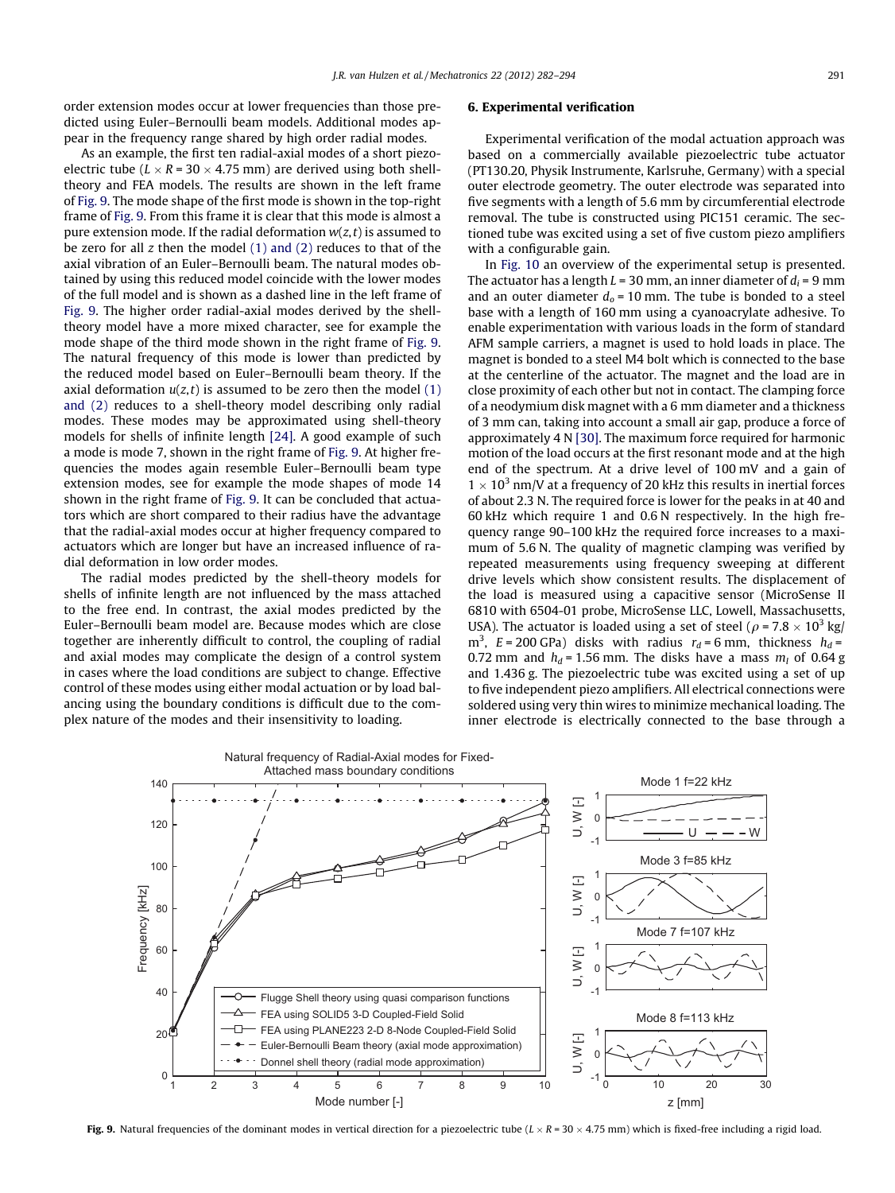<span id="page-9-0"></span>order extension modes occur at lower frequencies than those predicted using Euler–Bernoulli beam models. Additional modes appear in the frequency range shared by high order radial modes.

As an example, the first ten radial-axial modes of a short piezoelectric tube ( $L \times R = 30 \times 4.75$  mm) are derived using both shelltheory and FEA models. The results are shown in the left frame of Fig. 9. The mode shape of the first mode is shown in the top-right frame of Fig. 9. From this frame it is clear that this mode is almost a pure extension mode. If the radial deformation  $w(z,t)$  is assumed to be zero for all  $z$  then the model  $(1)$  and  $(2)$  reduces to that of the axial vibration of an Euler–Bernoulli beam. The natural modes obtained by using this reduced model coincide with the lower modes of the full model and is shown as a dashed line in the left frame of Fig. 9. The higher order radial-axial modes derived by the shelltheory model have a more mixed character, see for example the mode shape of the third mode shown in the right frame of Fig. 9. The natural frequency of this mode is lower than predicted by the reduced model based on Euler–Bernoulli beam theory. If the axial deformation  $u(z,t)$  is assumed to be zero then the model [\(1\)](#page-1-0) [and \(2\)](#page-1-0) reduces to a shell-theory model describing only radial modes. These modes may be approximated using shell-theory models for shells of infinite length [\[24\]](#page-12-0). A good example of such a mode is mode 7, shown in the right frame of Fig. 9. At higher frequencies the modes again resemble Euler–Bernoulli beam type extension modes, see for example the mode shapes of mode 14 shown in the right frame of Fig. 9. It can be concluded that actuators which are short compared to their radius have the advantage that the radial-axial modes occur at higher frequency compared to actuators which are longer but have an increased influence of radial deformation in low order modes.

The radial modes predicted by the shell-theory models for shells of infinite length are not influenced by the mass attached to the free end. In contrast, the axial modes predicted by the Euler–Bernoulli beam model are. Because modes which are close together are inherently difficult to control, the coupling of radial and axial modes may complicate the design of a control system in cases where the load conditions are subject to change. Effective control of these modes using either modal actuation or by load balancing using the boundary conditions is difficult due to the complex nature of the modes and their insensitivity to loading.

# 6. Experimental verification

Experimental verification of the modal actuation approach was based on a commercially available piezoelectric tube actuator (PT130.20, Physik Instrumente, Karlsruhe, Germany) with a special outer electrode geometry. The outer electrode was separated into five segments with a length of 5.6 mm by circumferential electrode removal. The tube is constructed using PIC151 ceramic. The sectioned tube was excited using a set of five custom piezo amplifiers with a configurable gain.

In [Fig. 10](#page-10-0) an overview of the experimental setup is presented. The actuator has a length  $L = 30$  mm, an inner diameter of  $d_i = 9$  mm and an outer diameter  $d_0$  = 10 mm. The tube is bonded to a steel base with a length of 160 mm using a cyanoacrylate adhesive. To enable experimentation with various loads in the form of standard AFM sample carriers, a magnet is used to hold loads in place. The magnet is bonded to a steel M4 bolt which is connected to the base at the centerline of the actuator. The magnet and the load are in close proximity of each other but not in contact. The clamping force of a neodymium disk magnet with a 6 mm diameter and a thickness of 3 mm can, taking into account a small air gap, produce a force of approximately 4 N [\[30\].](#page-12-0) The maximum force required for harmonic motion of the load occurs at the first resonant mode and at the high end of the spectrum. At a drive level of 100 mV and a gain of  $1 \times 10^3$  nm/V at a frequency of 20 kHz this results in inertial forces of about 2.3 N. The required force is lower for the peaks in at 40 and 60 kHz which require 1 and 0.6 N respectively. In the high frequency range 90–100 kHz the required force increases to a maximum of 5.6 N. The quality of magnetic clamping was verified by repeated measurements using frequency sweeping at different drive levels which show consistent results. The displacement of the load is measured using a capacitive sensor (MicroSense II 6810 with 6504-01 probe, MicroSense LLC, Lowell, Massachusetts, USA). The actuator is loaded using a set of steel ( $\rho$  = 7.8  $\times$  10<sup>3</sup> kg/  $m<sup>3</sup>$ ,  $E = 200$  GPa) disks with radius  $r<sub>d</sub> = 6$  mm, thickness  $h<sub>d</sub> =$ 0.72 mm and  $h_d$  = 1.56 mm. The disks have a mass  $m_l$  of 0.64 g and 1.436 g. The piezoelectric tube was excited using a set of up to five independent piezo amplifiers. All electrical connections were soldered using very thin wires to minimize mechanical loading. The inner electrode is electrically connected to the base through a



Fig. 9. Natural frequencies of the dominant modes in vertical direction for a piezoelectric tube (L  $\times$  R = 30  $\times$  4.75 mm) which is fixed-free including a rigid load.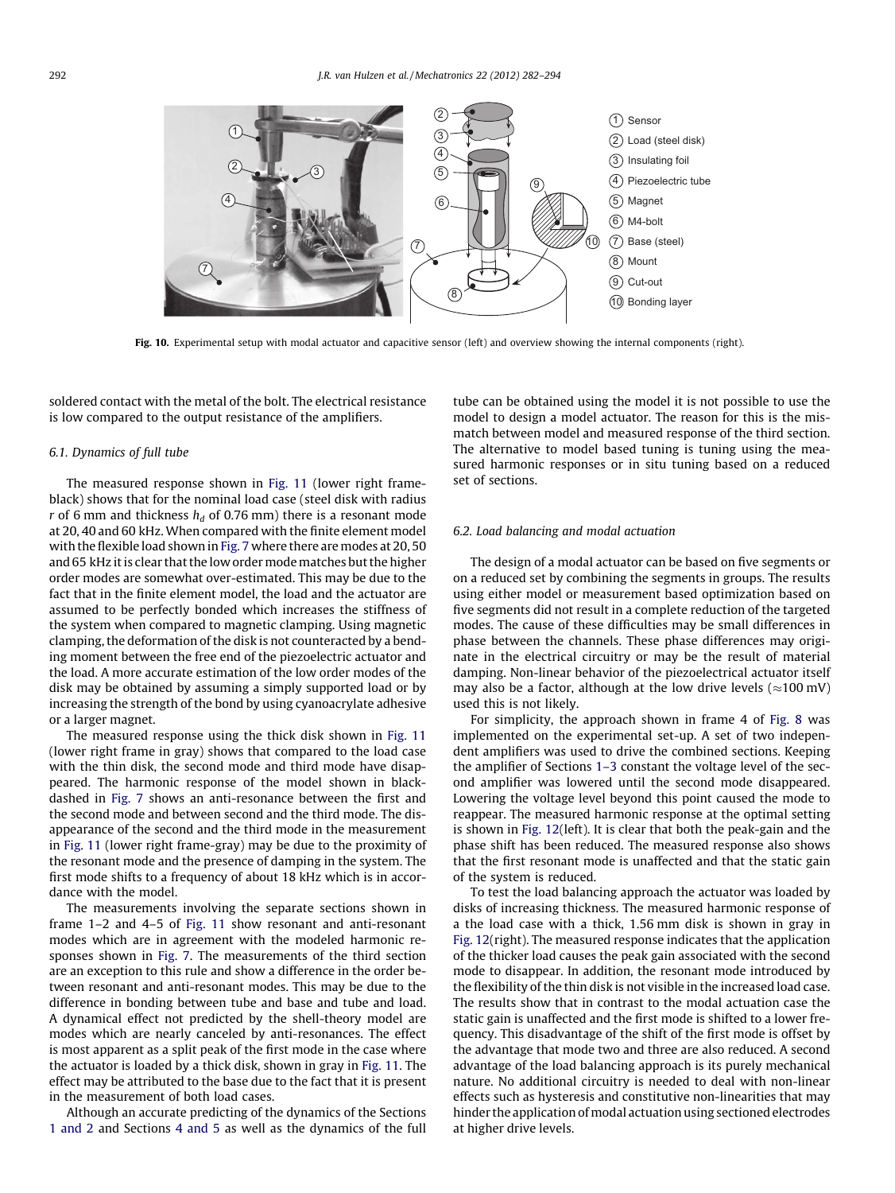<span id="page-10-0"></span>

Fig. 10. Experimental setup with modal actuator and capacitive sensor (left) and overview showing the internal components (right).

soldered contact with the metal of the bolt. The electrical resistance is low compared to the output resistance of the amplifiers.

## 6.1. Dynamics of full tube

The measured response shown in [Fig. 11](#page-11-0) (lower right frameblack) shows that for the nominal load case (steel disk with radius r of 6 mm and thickness  $h_d$  of 0.76 mm) there is a resonant mode at 20, 40 and 60 kHz. When compared with the finite element model with the flexible load shown in [Fig. 7](#page-7-0) where there are modes at 20, 50 and 65 kHz it is clear that the low order mode matches but the higher order modes are somewhat over-estimated. This may be due to the fact that in the finite element model, the load and the actuator are assumed to be perfectly bonded which increases the stiffness of the system when compared to magnetic clamping. Using magnetic clamping, the deformation of the disk is not counteracted by a bending moment between the free end of the piezoelectric actuator and the load. A more accurate estimation of the low order modes of the disk may be obtained by assuming a simply supported load or by increasing the strength of the bond by using cyanoacrylate adhesive or a larger magnet.

The measured response using the thick disk shown in [Fig. 11](#page-11-0) (lower right frame in gray) shows that compared to the load case with the thin disk, the second mode and third mode have disappeared. The harmonic response of the model shown in blackdashed in [Fig. 7](#page-7-0) shows an anti-resonance between the first and the second mode and between second and the third mode. The disappearance of the second and the third mode in the measurement in [Fig. 11](#page-11-0) (lower right frame-gray) may be due to the proximity of the resonant mode and the presence of damping in the system. The first mode shifts to a frequency of about 18 kHz which is in accordance with the model.

The measurements involving the separate sections shown in frame 1–2 and 4–5 of [Fig. 11](#page-11-0) show resonant and anti-resonant modes which are in agreement with the modeled harmonic responses shown in [Fig. 7](#page-7-0). The measurements of the third section are an exception to this rule and show a difference in the order between resonant and anti-resonant modes. This may be due to the difference in bonding between tube and base and tube and load. A dynamical effect not predicted by the shell-theory model are modes which are nearly canceled by anti-resonances. The effect is most apparent as a split peak of the first mode in the case where the actuator is loaded by a thick disk, shown in gray in [Fig. 11.](#page-11-0) The effect may be attributed to the base due to the fact that it is present in the measurement of both load cases.

Although an accurate predicting of the dynamics of the Sections [1 and 2](#page-0-0) and Sections [4 and 5](#page-6-0) as well as the dynamics of the full tube can be obtained using the model it is not possible to use the model to design a model actuator. The reason for this is the mismatch between model and measured response of the third section. The alternative to model based tuning is tuning using the measured harmonic responses or in situ tuning based on a reduced set of sections.

#### 6.2. Load balancing and modal actuation

The design of a modal actuator can be based on five segments or on a reduced set by combining the segments in groups. The results using either model or measurement based optimization based on five segments did not result in a complete reduction of the targeted modes. The cause of these difficulties may be small differences in phase between the channels. These phase differences may originate in the electrical circuitry or may be the result of material damping. Non-linear behavior of the piezoelectrical actuator itself may also be a factor, although at the low drive levels ( $\approx$ 100 mV) used this is not likely.

For simplicity, the approach shown in frame 4 of [Fig. 8](#page-8-0) was implemented on the experimental set-up. A set of two independent amplifiers was used to drive the combined sections. Keeping the amplifier of Sections [1–3](#page-0-0) constant the voltage level of the second amplifier was lowered until the second mode disappeared. Lowering the voltage level beyond this point caused the mode to reappear. The measured harmonic response at the optimal setting is shown in [Fig. 12](#page-11-0)(left). It is clear that both the peak-gain and the phase shift has been reduced. The measured response also shows that the first resonant mode is unaffected and that the static gain of the system is reduced.

To test the load balancing approach the actuator was loaded by disks of increasing thickness. The measured harmonic response of a the load case with a thick, 1.56 mm disk is shown in gray in [Fig. 12](#page-11-0)(right). The measured response indicates that the application of the thicker load causes the peak gain associated with the second mode to disappear. In addition, the resonant mode introduced by the flexibility of the thin disk is not visible in the increased load case. The results show that in contrast to the modal actuation case the static gain is unaffected and the first mode is shifted to a lower frequency. This disadvantage of the shift of the first mode is offset by the advantage that mode two and three are also reduced. A second advantage of the load balancing approach is its purely mechanical nature. No additional circuitry is needed to deal with non-linear effects such as hysteresis and constitutive non-linearities that may hinder the application of modal actuation using sectioned electrodes at higher drive levels.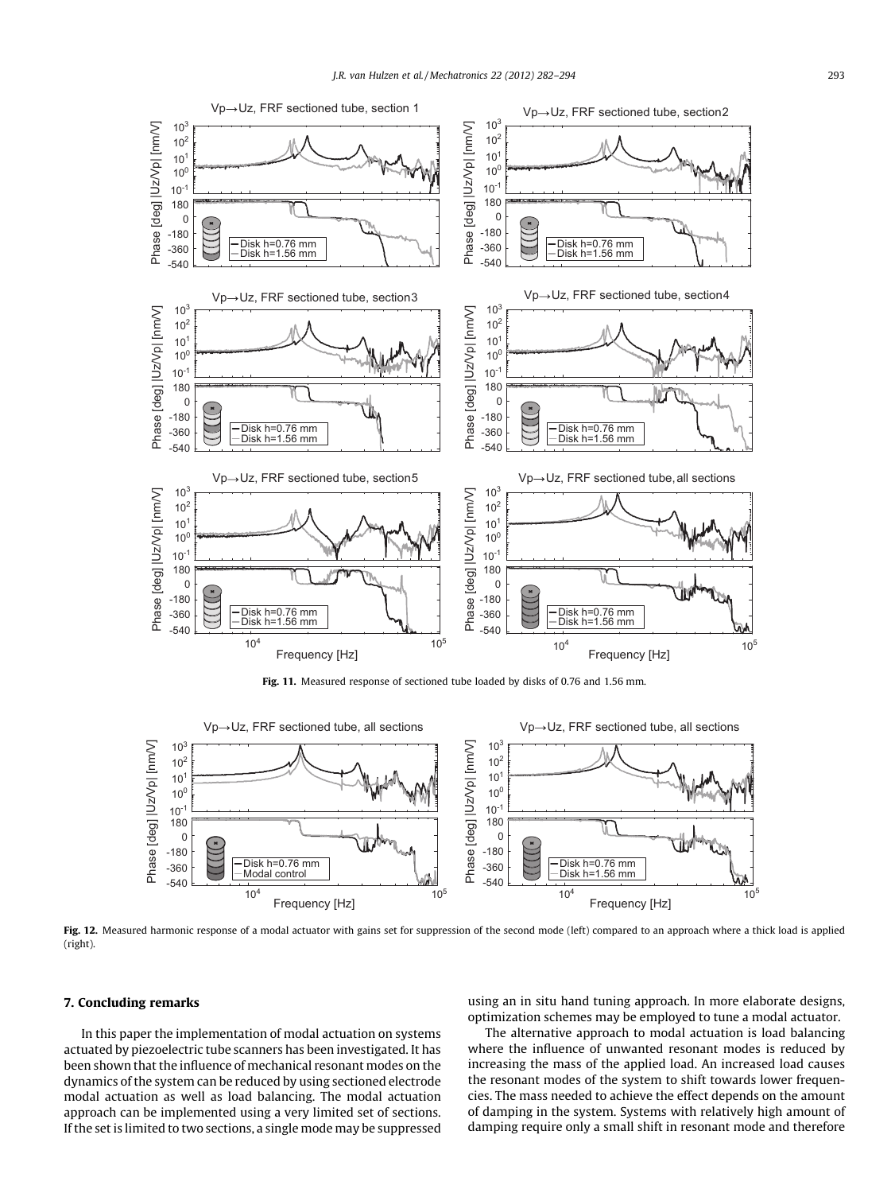<span id="page-11-0"></span>

Fig. 11. Measured response of sectioned tube loaded by disks of 0.76 and 1.56 mm.



Fig. 12. Measured harmonic response of a modal actuator with gains set for suppression of the second mode (left) compared to an approach where a thick load is applied (right).

#### 7. Concluding remarks

In this paper the implementation of modal actuation on systems actuated by piezoelectric tube scanners has been investigated. It has been shown that the influence of mechanical resonant modes on the dynamics of the system can be reduced by using sectioned electrode modal actuation as well as load balancing. The modal actuation approach can be implemented using a very limited set of sections. If the set is limited to two sections, a single mode may be suppressed using an in situ hand tuning approach. In more elaborate designs, optimization schemes may be employed to tune a modal actuator.

The alternative approach to modal actuation is load balancing where the influence of unwanted resonant modes is reduced by increasing the mass of the applied load. An increased load causes the resonant modes of the system to shift towards lower frequencies. The mass needed to achieve the effect depends on the amount of damping in the system. Systems with relatively high amount of damping require only a small shift in resonant mode and therefore